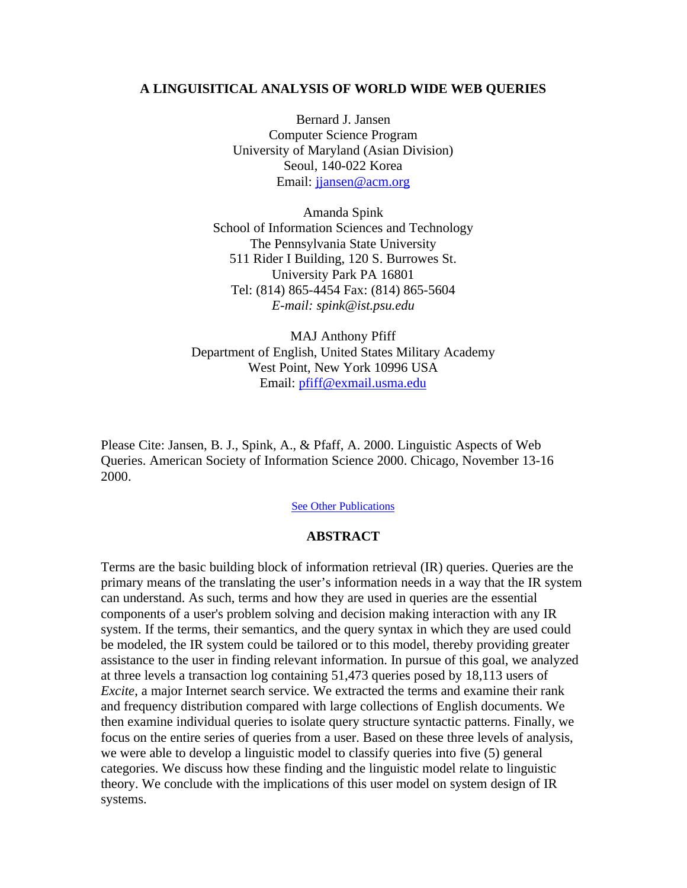#### **A LINGUISITICAL ANALYSIS OF WORLD WIDE WEB QUERIES**

Bernard J. Jansen Computer Science Program University of Maryland (Asian Division) Seoul, 140-022 Korea Email: jjansen@acm.org

Amanda Spink School of Information Sciences and Technology The Pennsylvania State University 511 Rider I Building, 120 S. Burrowes St. University Park PA 16801 Tel: (814) 865-4454 Fax: (814) 865-5604 *E-mail: spink@ist.psu.edu*

MAJ Anthony Pfiff Department of English, United States Military Academy West Point, New York 10996 USA Email: pfiff@exmail.usma.edu

Please Cite: Jansen, B. J., Spink, A., & Pfaff, A. 2000. Linguistic Aspects of Web Queries. American Society of Information Science 2000. Chicago, November 13-16 2000.

See Other Publications

#### **ABSTRACT**

Terms are the basic building block of information retrieval (IR) queries. Queries are the primary means of the translating the user's information needs in a way that the IR system can understand. As such, terms and how they are used in queries are the essential components of a user's problem solving and decision making interaction with any IR system. If the terms, their semantics, and the query syntax in which they are used could be modeled, the IR system could be tailored or to this model, thereby providing greater assistance to the user in finding relevant information. In pursue of this goal, we analyzed at three levels a transaction log containing 51,473 queries posed by 18,113 users of *Excite*, a major Internet search service. We extracted the terms and examine their rank and frequency distribution compared with large collections of English documents. We then examine individual queries to isolate query structure syntactic patterns. Finally, we focus on the entire series of queries from a user. Based on these three levels of analysis, we were able to develop a linguistic model to classify queries into five (5) general categories. We discuss how these finding and the linguistic model relate to linguistic theory. We conclude with the implications of this user model on system design of IR systems.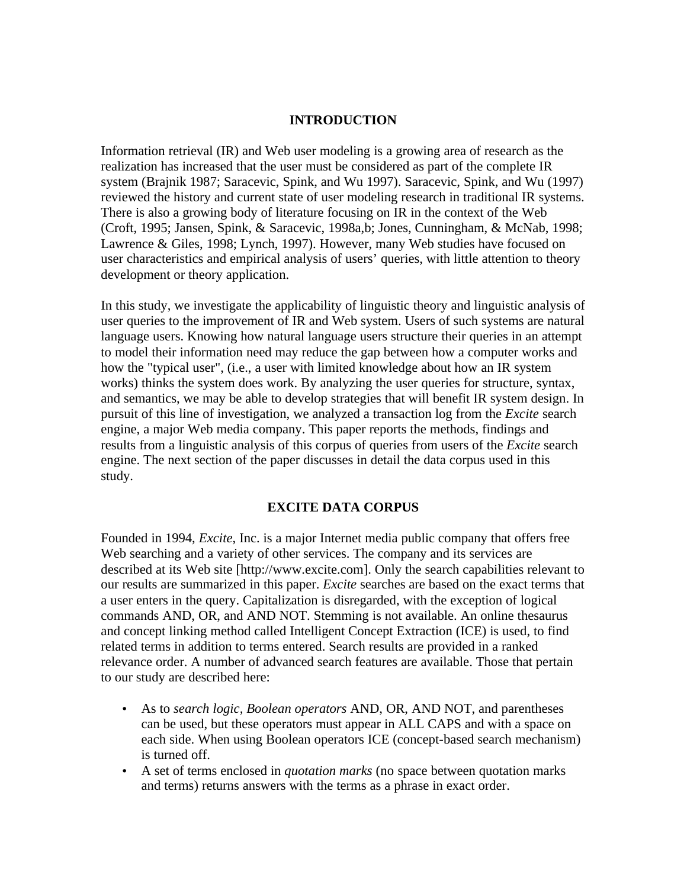## **INTRODUCTION**

Information retrieval (IR) and Web user modeling is a growing area of research as the realization has increased that the user must be considered as part of the complete IR system (Brajnik 1987; Saracevic, Spink, and Wu 1997). Saracevic, Spink, and Wu (1997) reviewed the history and current state of user modeling research in traditional IR systems. There is also a growing body of literature focusing on IR in the context of the Web (Croft, 1995; Jansen, Spink, & Saracevic, 1998a,b; Jones, Cunningham, & McNab, 1998; Lawrence & Giles, 1998; Lynch, 1997). However, many Web studies have focused on user characteristics and empirical analysis of users' queries, with little attention to theory development or theory application.

In this study, we investigate the applicability of linguistic theory and linguistic analysis of user queries to the improvement of IR and Web system. Users of such systems are natural language users. Knowing how natural language users structure their queries in an attempt to model their information need may reduce the gap between how a computer works and how the "typical user", (i.e., a user with limited knowledge about how an IR system works) thinks the system does work. By analyzing the user queries for structure, syntax, and semantics, we may be able to develop strategies that will benefit IR system design. In pursuit of this line of investigation, we analyzed a transaction log from the *Excite* search engine, a major Web media company. This paper reports the methods, findings and results from a linguistic analysis of this corpus of queries from users of the *Excite* search engine. The next section of the paper discusses in detail the data corpus used in this study.

### **EXCITE DATA CORPUS**

Founded in 1994, *Excite*, Inc. is a major Internet media public company that offers free Web searching and a variety of other services. The company and its services are described at its Web site [http://www.excite.com]. Only the search capabilities relevant to our results are summarized in this paper. *Excite* searches are based on the exact terms that a user enters in the query. Capitalization is disregarded, with the exception of logical commands AND, OR, and AND NOT. Stemming is not available. An online thesaurus and concept linking method called Intelligent Concept Extraction (ICE) is used, to find related terms in addition to terms entered. Search results are provided in a ranked relevance order. A number of advanced search features are available. Those that pertain to our study are described here:

- As to *search logic, Boolean operators* AND, OR, AND NOT, and parentheses can be used, but these operators must appear in ALL CAPS and with a space on each side. When using Boolean operators ICE (concept-based search mechanism) is turned off.
- A set of terms enclosed in *quotation marks* (no space between quotation marks and terms) returns answers with the terms as a phrase in exact order.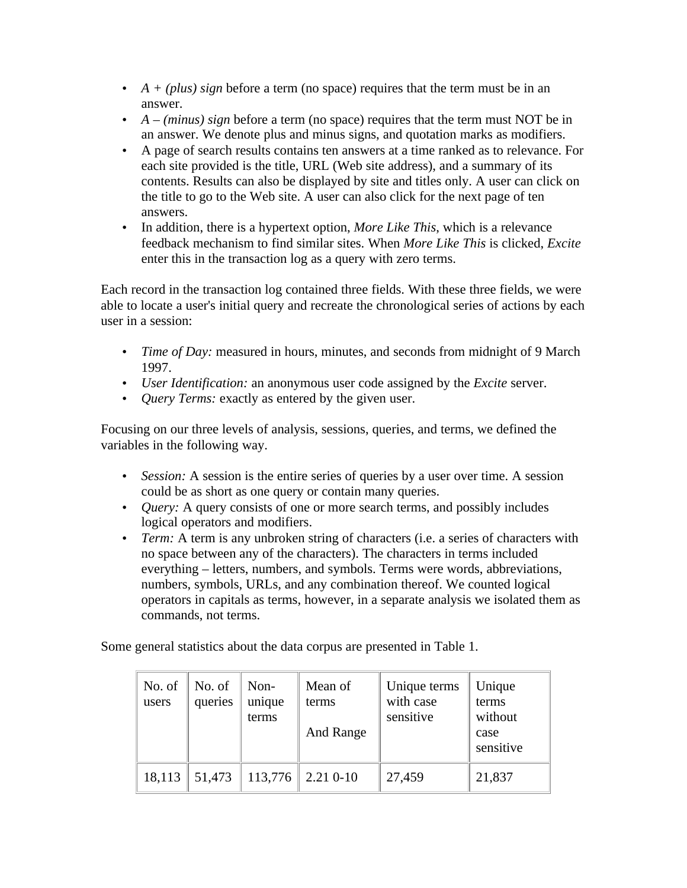- *A + (plus) sign* before a term (no space) requires that the term must be in an answer.
- *A (minus) sign* before a term (no space) requires that the term must NOT be in an answer. We denote plus and minus signs, and quotation marks as modifiers.
- A page of search results contains ten answers at a time ranked as to relevance. For each site provided is the title, URL (Web site address), and a summary of its contents. Results can also be displayed by site and titles only. A user can click on the title to go to the Web site. A user can also click for the next page of ten answers.
- In addition, there is a hypertext option, *More Like This*, which is a relevance feedback mechanism to find similar sites. When *More Like This* is clicked, *Excite* enter this in the transaction log as a query with zero terms.

Each record in the transaction log contained three fields. With these three fields, we were able to locate a user's initial query and recreate the chronological series of actions by each user in a session:

- *Time of Day:* measured in hours, minutes, and seconds from midnight of 9 March 1997.
- *User Identification:* an anonymous user code assigned by the *Excite* server.
- *Query Terms:* exactly as entered by the given user.

Focusing on our three levels of analysis, sessions, queries, and terms, we defined the variables in the following way.

- *Session:* A session is the entire series of queries by a user over time. A session could be as short as one query or contain many queries.
- *Ouery:* A query consists of one or more search terms, and possibly includes logical operators and modifiers.
- *Term:* A term is any unbroken string of characters (i.e. a series of characters with no space between any of the characters). The characters in terms included everything – letters, numbers, and symbols. Terms were words, abbreviations, numbers, symbols, URLs, and any combination thereof. We counted logical operators in capitals as terms, however, in a separate analysis we isolated them as commands, not terms.

Some general statistics about the data corpus are presented in Table 1.

| No. of<br>users | No. of<br>queries | Non-<br>unique<br>terms | Mean of<br>terms<br>And Range | Unique terms<br>with case<br>sensitive | Unique<br>terms<br>without<br>case<br>sensitive |
|-----------------|-------------------|-------------------------|-------------------------------|----------------------------------------|-------------------------------------------------|
| 18,113          | 51,473            | 113,776                 | $2.210 - 10$                  | 27,459                                 | 21,837                                          |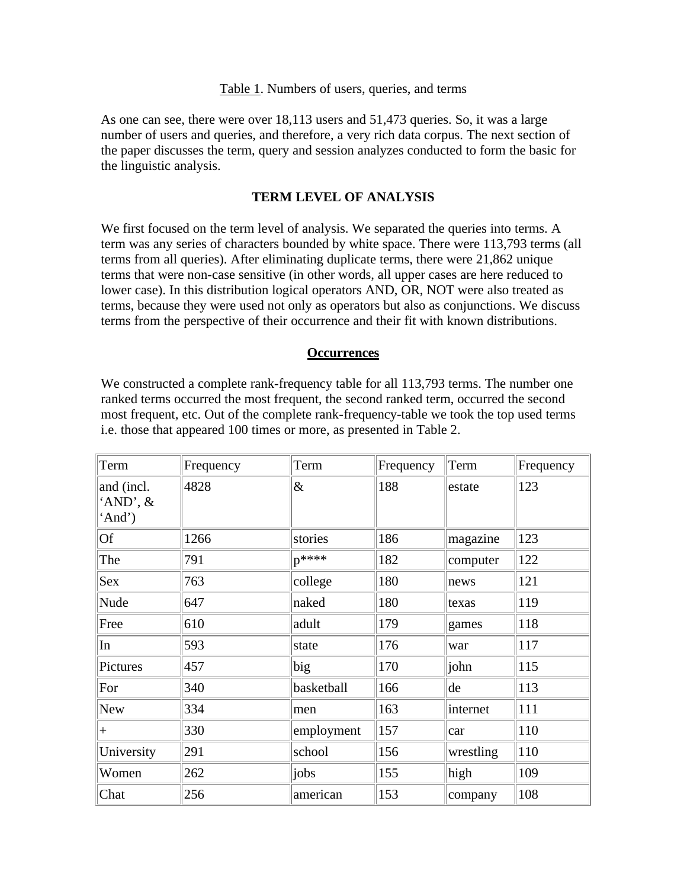#### Table 1. Numbers of users, queries, and terms

As one can see, there were over 18,113 users and 51,473 queries. So, it was a large number of users and queries, and therefore, a very rich data corpus. The next section of the paper discusses the term, query and session analyzes conducted to form the basic for the linguistic analysis.

# **TERM LEVEL OF ANALYSIS**

We first focused on the term level of analysis. We separated the queries into terms. A term was any series of characters bounded by white space. There were 113,793 terms (all terms from all queries). After eliminating duplicate terms, there were 21,862 unique terms that were non-case sensitive (in other words, all upper cases are here reduced to lower case). In this distribution logical operators AND, OR, NOT were also treated as terms, because they were used not only as operators but also as conjunctions. We discuss terms from the perspective of their occurrence and their fit with known distributions.

### **Occurrences**

We constructed a complete rank-frequency table for all 113,793 terms. The number one ranked terms occurred the most frequent, the second ranked term, occurred the second most frequent, etc. Out of the complete rank-frequency-table we took the top used terms i.e. those that appeared 100 times or more, as presented in Table 2.

| Term                             | Frequency | Term       | Frequency | Term      | Frequency |
|----------------------------------|-----------|------------|-----------|-----------|-----------|
| and (incl.<br>'AND', &<br>'And') | 4828      | &          | 188       | estate    | 123       |
| <b>Of</b>                        | 1266      | stories    | 186       | magazine  | 123       |
| The                              | 791       | $n^{****}$ | 182       | computer  | 122       |
| Sex                              | 763       | college    | 180       | news      | 121       |
| Nude                             | 647       | naked      | 180       | texas     | 119       |
| Free                             | 610       | adult      | 179       | games     | 118       |
| In                               | 593       | state      | 176       | war       | 117       |
| Pictures                         | 457       | big        | 170       | john      | 115       |
| For                              | 340       | basketball | 166       | de        | 113       |
| New                              | 334       | men        | 163       | internet  | 111       |
| $^{+}$                           | 330       | employment | 157       | car       | 110       |
| University                       | 291       | school     | 156       | wrestling | 110       |
| Women                            | 262       | jobs       | 155       | high      | 109       |
| Chat                             | 256       | american   | 153       | company   | 108       |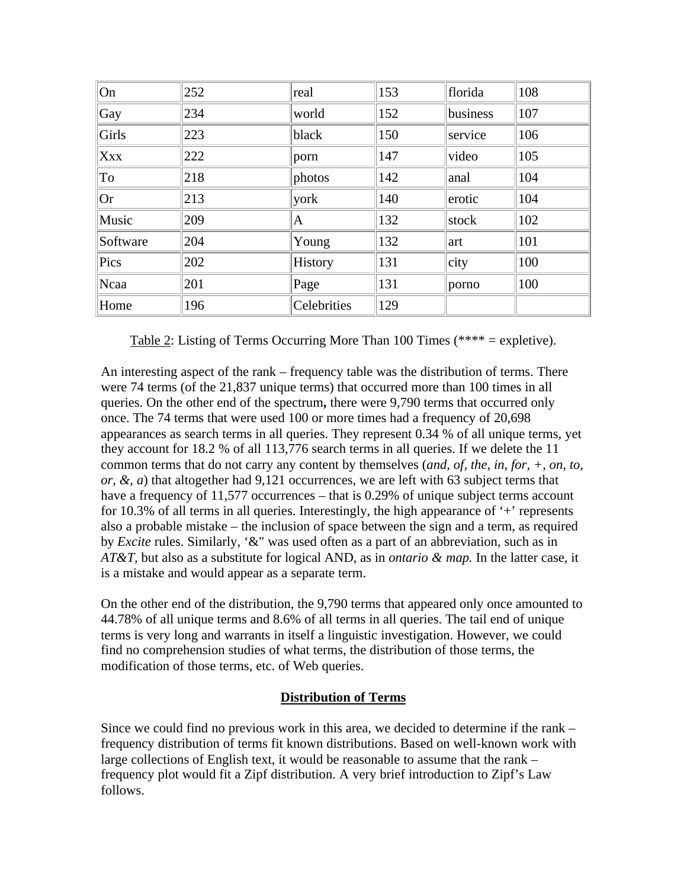| On         | 252 | real        | 153 | florida      | 108 |
|------------|-----|-------------|-----|--------------|-----|
| Gay        | 234 | world       | 152 | business     | 107 |
| Girls      | 223 | black       | 150 | service      | 106 |
| <b>Xxx</b> | 222 | porn        | 147 | video        | 105 |
| To         | 218 | photos      | 142 | anal         | 104 |
| <b>Or</b>  | 213 | york        | 140 | erotic       | 104 |
| Music      | 209 | A           | 132 | stock        | 102 |
| Software   | 204 | Young       | 132 | art          | 101 |
| Pics       | 202 | History     | 131 | $\vert$ city | 100 |
| Ncaa       | 201 | Page        | 131 | porno        | 100 |
| Home       | 196 | Celebrities | 129 |              |     |

Table 2: Listing of Terms Occurring More Than 100 Times (\*\*\*\* = expletive).

An interesting aspect of the rank – frequency table was the distribution of terms. There were 74 terms (of the 21,837 unique terms) that occurred more than 100 times in all queries. On the other end of the spectrum**,** there were 9,790 terms that occurred only once. The 74 terms that were used 100 or more times had a frequency of 20,698 appearances as search terms in all queries. They represent 0.34 % of all unique terms, yet they account for 18.2 % of all 113,776 search terms in all queries. If we delete the 11 common terms that do not carry any content by themselves (*and, of, the, in, for, +, on, to, or, &, a*) that altogether had 9,121 occurrences, we are left with 63 subject terms that have a frequency of 11,577 occurrences – that is 0.29% of unique subject terms account for 10.3% of all terms in all queries. Interestingly, the high appearance of  $+$  represents also a probable mistake – the inclusion of space between the sign and a term, as required by *Excite* rules. Similarly, '&" was used often as a part of an abbreviation, such as in *AT&T,* but also as a substitute for logical AND, as in *ontario & map.* In the latter case, it is a mistake and would appear as a separate term.

On the other end of the distribution, the 9,790 terms that appeared only once amounted to 44.78% of all unique terms and 8.6% of all terms in all queries. The tail end of unique terms is very long and warrants in itself a linguistic investigation. However, we could find no comprehension studies of what terms, the distribution of those terms, the modification of those terms, etc. of Web queries.

# **Distribution of Terms**

Since we could find no previous work in this area, we decided to determine if the rank – frequency distribution of terms fit known distributions. Based on well-known work with large collections of English text, it would be reasonable to assume that the rank – frequency plot would fit a Zipf distribution. A very brief introduction to Zipf's Law follows.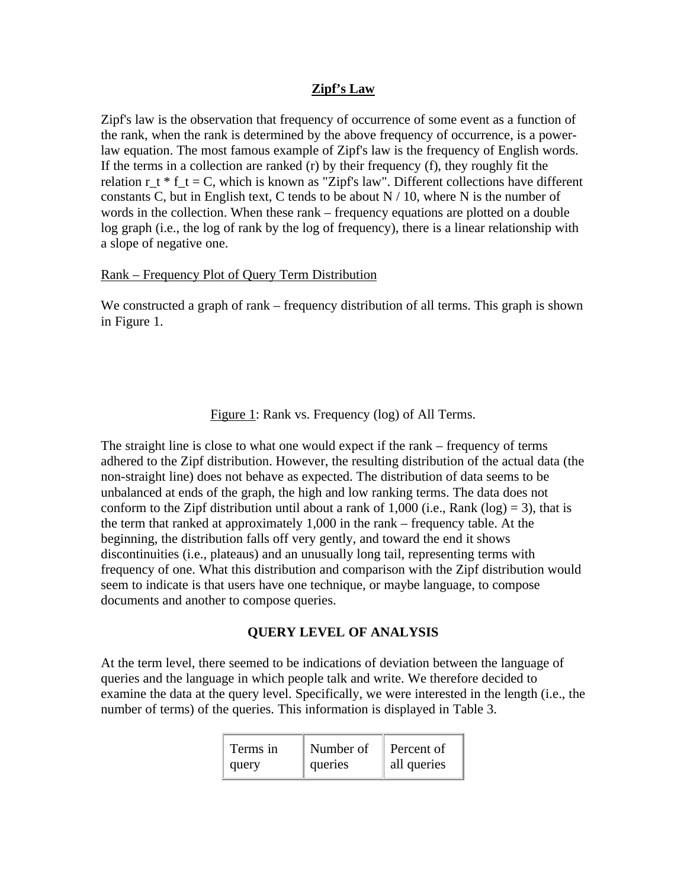# **Zipf's Law**

Zipf's law is the observation that frequency of occurrence of some event as a function of the rank, when the rank is determined by the above frequency of occurrence, is a powerlaw equation. The most famous example of Zipf's law is the frequency of English words. If the terms in a collection are ranked  $(r)$  by their frequency  $(f)$ , they roughly fit the relation  $r_t$  \*  $f_t = C$ , which is known as "Zipf's law". Different collections have different constants C, but in English text, C tends to be about  $N / 10$ , where N is the number of words in the collection. When these rank – frequency equations are plotted on a double log graph (i.e., the log of rank by the log of frequency), there is a linear relationship with a slope of negative one.

## Rank – Frequency Plot of Query Term Distribution

We constructed a graph of rank – frequency distribution of all terms. This graph is shown in Figure 1.

Figure 1: Rank vs. Frequency (log) of All Terms.

The straight line is close to what one would expect if the rank – frequency of terms adhered to the Zipf distribution. However, the resulting distribution of the actual data (the non-straight line) does not behave as expected. The distribution of data seems to be unbalanced at ends of the graph, the high and low ranking terms. The data does not conform to the Zipf distribution until about a rank of 1,000 (i.e., Rank (log) = 3), that is the term that ranked at approximately 1,000 in the rank – frequency table. At the beginning, the distribution falls off very gently, and toward the end it shows discontinuities (i.e., plateaus) and an unusually long tail, representing terms with frequency of one. What this distribution and comparison with the Zipf distribution would seem to indicate is that users have one technique, or maybe language, to compose documents and another to compose queries.

# **QUERY LEVEL OF ANALYSIS**

At the term level, there seemed to be indications of deviation between the language of queries and the language in which people talk and write. We therefore decided to examine the data at the query level. Specifically, we were interested in the length (i.e., the number of terms) of the queries. This information is displayed in Table 3.

| Terms in | Number of | $\parallel$ Percent of |
|----------|-----------|------------------------|
| query    | queries   | all queries            |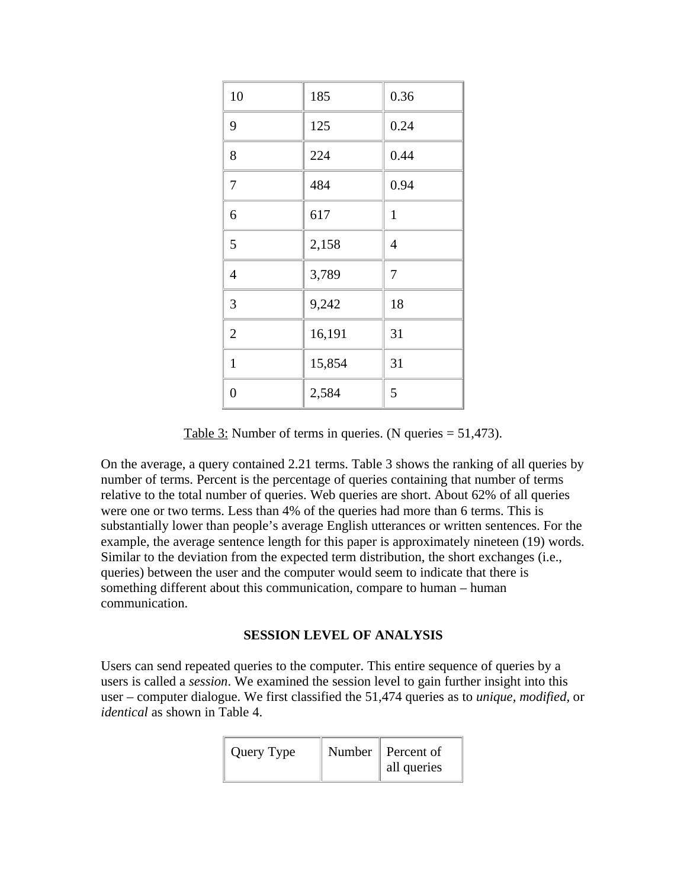| 10             | 185    | 0.36         |
|----------------|--------|--------------|
| 9              | 125    | 0.24         |
| 8              | 224    | 0.44         |
| $\overline{7}$ | 484    | 0.94         |
| 6              | 617    | $\mathbf{1}$ |
| 5              | 2,158  | 4            |
| $\overline{4}$ | 3,789  | $\tau$       |
| 3              | 9,242  | 18           |
| $\overline{2}$ | 16,191 | 31           |
| $\mathbf{1}$   | 15,854 | 31           |
| $\overline{0}$ | 2,584  | 5            |

Table 3: Number of terms in queries. (N queries = 51,473).

On the average, a query contained 2.21 terms. Table 3 shows the ranking of all queries by number of terms. Percent is the percentage of queries containing that number of terms relative to the total number of queries. Web queries are short. About 62% of all queries were one or two terms. Less than 4% of the queries had more than 6 terms. This is substantially lower than people's average English utterances or written sentences. For the example, the average sentence length for this paper is approximately nineteen (19) words. Similar to the deviation from the expected term distribution, the short exchanges (i.e., queries) between the user and the computer would seem to indicate that there is something different about this communication, compare to human – human communication.

## **SESSION LEVEL OF ANALYSIS**

Users can send repeated queries to the computer. This entire sequence of queries by a users is called a *session*. We examined the session level to gain further insight into this user – computer dialogue. We first classified the 51,474 queries as to *unique, modified,* or *identical* as shown in Table 4.

| Query Type | $\parallel$ Number $\parallel$ Percent of |
|------------|-------------------------------------------|
|            | $\parallel$ all queries                   |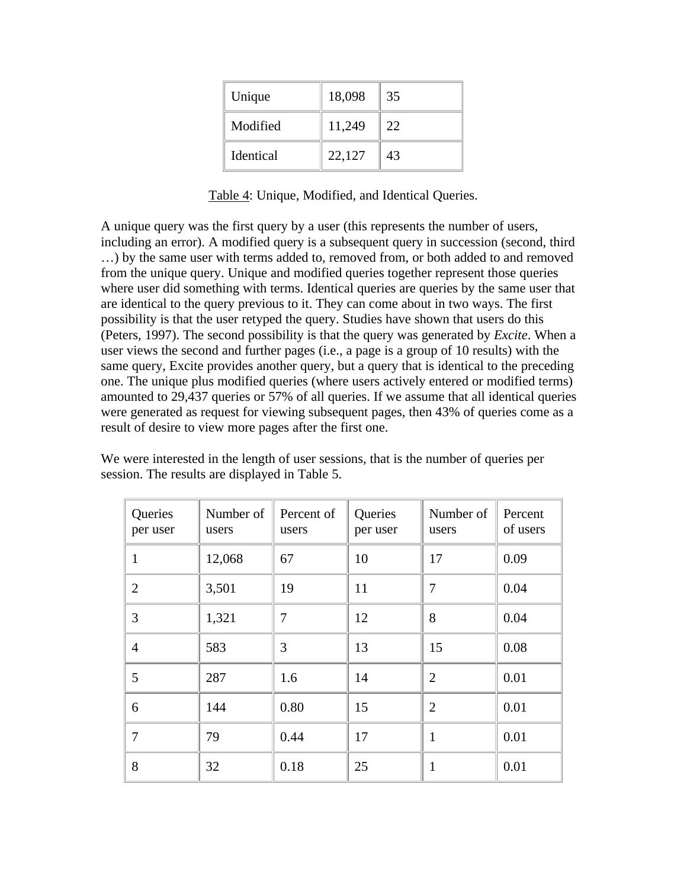| Unique           | 18,098 | 35 |
|------------------|--------|----|
| Modified         | 11,249 | 22 |
| <b>Identical</b> | 22,127 | 43 |

Table 4: Unique, Modified, and Identical Queries.

A unique query was the first query by a user (this represents the number of users, including an error). A modified query is a subsequent query in succession (second, third …) by the same user with terms added to, removed from, or both added to and removed from the unique query. Unique and modified queries together represent those queries where user did something with terms. Identical queries are queries by the same user that are identical to the query previous to it. They can come about in two ways. The first possibility is that the user retyped the query. Studies have shown that users do this (Peters, 1997). The second possibility is that the query was generated by *Excite*. When a user views the second and further pages (i.e., a page is a group of 10 results) with the same query, Excite provides another query, but a query that is identical to the preceding one. The unique plus modified queries (where users actively entered or modified terms) amounted to 29,437 queries or 57% of all queries. If we assume that all identical queries were generated as request for viewing subsequent pages, then 43% of queries come as a result of desire to view more pages after the first one.

We were interested in the length of user sessions, that is the number of queries per session. The results are displayed in Table 5.

| Queries<br>per user | Number of<br>users | Percent of<br>users | Queries<br>per user | Number of<br>users | Percent<br>of users |
|---------------------|--------------------|---------------------|---------------------|--------------------|---------------------|
| 1                   | 12,068             | 67                  | 10                  | 17                 | 0.09                |
| $\overline{2}$      | 3,501              | 19                  | 11                  | 7                  | 0.04                |
| 3                   | 1,321              | 7                   | 12                  | 8                  | 0.04                |
| $\overline{4}$      | 583                | 3                   | 13                  | 15                 | 0.08                |
| 5                   | 287                | 1.6                 | 14                  | $\overline{2}$     | 0.01                |
| 6                   | 144                | 0.80                | 15                  | $\overline{2}$     | 0.01                |
| 7                   | 79                 | 0.44                | 17                  | $\mathbf{1}$       | 0.01                |
| 8                   | 32                 | 0.18                | 25                  | 1                  | 0.01                |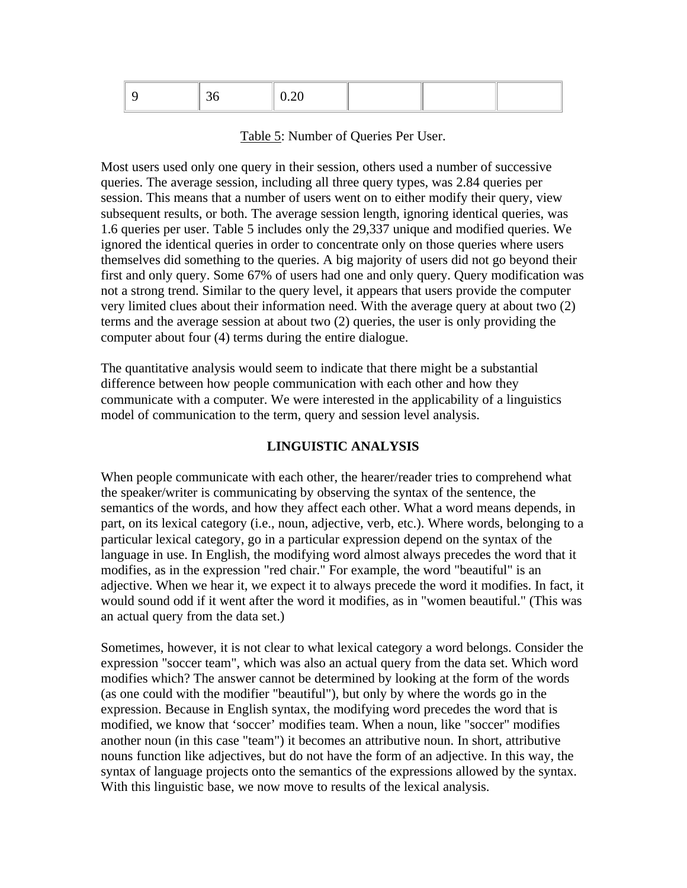|--|--|--|--|--|--|

Table 5: Number of Queries Per User.

Most users used only one query in their session, others used a number of successive queries. The average session, including all three query types, was 2.84 queries per session. This means that a number of users went on to either modify their query, view subsequent results, or both. The average session length, ignoring identical queries, was 1.6 queries per user. Table 5 includes only the 29,337 unique and modified queries. We ignored the identical queries in order to concentrate only on those queries where users themselves did something to the queries. A big majority of users did not go beyond their first and only query. Some 67% of users had one and only query. Query modification was not a strong trend. Similar to the query level, it appears that users provide the computer very limited clues about their information need. With the average query at about two (2) terms and the average session at about two (2) queries, the user is only providing the computer about four (4) terms during the entire dialogue.

The quantitative analysis would seem to indicate that there might be a substantial difference between how people communication with each other and how they communicate with a computer. We were interested in the applicability of a linguistics model of communication to the term, query and session level analysis.

# **LINGUISTIC ANALYSIS**

When people communicate with each other, the hearer/reader tries to comprehend what the speaker/writer is communicating by observing the syntax of the sentence, the semantics of the words, and how they affect each other. What a word means depends, in part, on its lexical category (i.e., noun, adjective, verb, etc.). Where words, belonging to a particular lexical category, go in a particular expression depend on the syntax of the language in use. In English, the modifying word almost always precedes the word that it modifies, as in the expression "red chair." For example, the word "beautiful" is an adjective. When we hear it, we expect it to always precede the word it modifies. In fact, it would sound odd if it went after the word it modifies, as in "women beautiful." (This was an actual query from the data set.)

Sometimes, however, it is not clear to what lexical category a word belongs. Consider the expression "soccer team", which was also an actual query from the data set. Which word modifies which? The answer cannot be determined by looking at the form of the words (as one could with the modifier "beautiful"), but only by where the words go in the expression. Because in English syntax, the modifying word precedes the word that is modified, we know that 'soccer' modifies team. When a noun, like "soccer" modifies another noun (in this case "team") it becomes an attributive noun. In short, attributive nouns function like adjectives, but do not have the form of an adjective. In this way, the syntax of language projects onto the semantics of the expressions allowed by the syntax. With this linguistic base, we now move to results of the lexical analysis.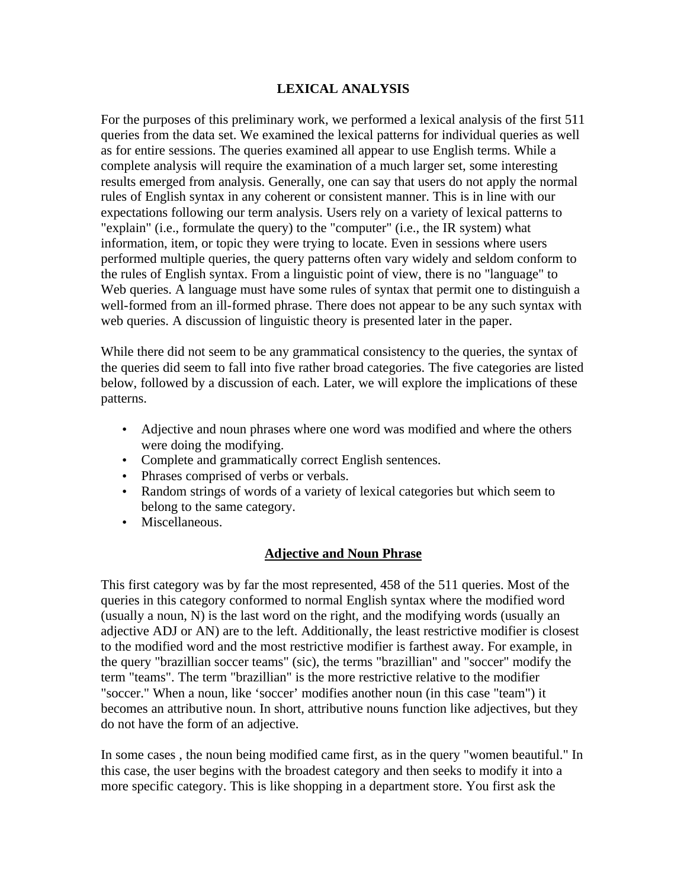# **LEXICAL ANALYSIS**

For the purposes of this preliminary work, we performed a lexical analysis of the first 511 queries from the data set. We examined the lexical patterns for individual queries as well as for entire sessions. The queries examined all appear to use English terms. While a complete analysis will require the examination of a much larger set, some interesting results emerged from analysis. Generally, one can say that users do not apply the normal rules of English syntax in any coherent or consistent manner. This is in line with our expectations following our term analysis. Users rely on a variety of lexical patterns to "explain" (i.e., formulate the query) to the "computer" (i.e., the IR system) what information, item, or topic they were trying to locate. Even in sessions where users performed multiple queries, the query patterns often vary widely and seldom conform to the rules of English syntax. From a linguistic point of view, there is no "language" to Web queries. A language must have some rules of syntax that permit one to distinguish a well-formed from an ill-formed phrase. There does not appear to be any such syntax with web queries. A discussion of linguistic theory is presented later in the paper.

While there did not seem to be any grammatical consistency to the queries, the syntax of the queries did seem to fall into five rather broad categories. The five categories are listed below, followed by a discussion of each. Later, we will explore the implications of these patterns.

- Adjective and noun phrases where one word was modified and where the others were doing the modifying.
- Complete and grammatically correct English sentences.
- Phrases comprised of verbs or verbals.
- Random strings of words of a variety of lexical categories but which seem to belong to the same category.
- Miscellaneous.

# **Adjective and Noun Phrase**

This first category was by far the most represented, 458 of the 511 queries. Most of the queries in this category conformed to normal English syntax where the modified word (usually a noun, N) is the last word on the right, and the modifying words (usually an adjective ADJ or AN) are to the left. Additionally, the least restrictive modifier is closest to the modified word and the most restrictive modifier is farthest away. For example, in the query "brazillian soccer teams" (sic), the terms "brazillian" and "soccer" modify the term "teams". The term "brazillian" is the more restrictive relative to the modifier "soccer." When a noun, like 'soccer' modifies another noun (in this case "team") it becomes an attributive noun. In short, attributive nouns function like adjectives, but they do not have the form of an adjective.

In some cases , the noun being modified came first, as in the query "women beautiful." In this case, the user begins with the broadest category and then seeks to modify it into a more specific category. This is like shopping in a department store. You first ask the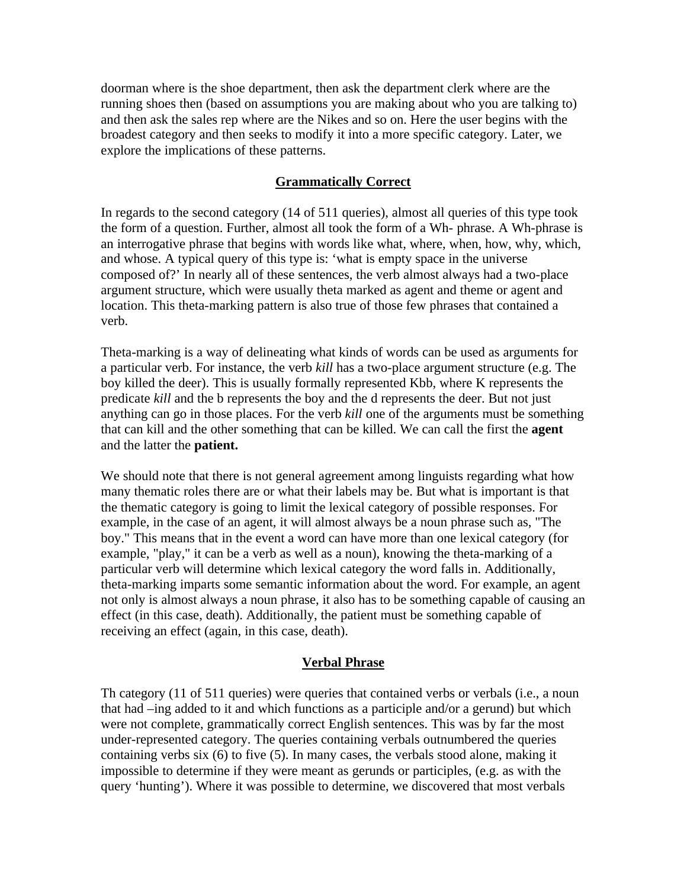doorman where is the shoe department, then ask the department clerk where are the running shoes then (based on assumptions you are making about who you are talking to) and then ask the sales rep where are the Nikes and so on. Here the user begins with the broadest category and then seeks to modify it into a more specific category. Later, we explore the implications of these patterns.

# **Grammatically Correct**

In regards to the second category (14 of 511 queries), almost all queries of this type took the form of a question. Further, almost all took the form of a Wh- phrase. A Wh-phrase is an interrogative phrase that begins with words like what, where, when, how, why, which, and whose. A typical query of this type is: 'what is empty space in the universe composed of?' In nearly all of these sentences, the verb almost always had a two-place argument structure, which were usually theta marked as agent and theme or agent and location. This theta-marking pattern is also true of those few phrases that contained a verb.

Theta-marking is a way of delineating what kinds of words can be used as arguments for a particular verb. For instance, the verb *kill* has a two-place argument structure (e.g. The boy killed the deer). This is usually formally represented Kbb, where K represents the predicate *kill* and the b represents the boy and the d represents the deer. But not just anything can go in those places. For the verb *kill* one of the arguments must be something that can kill and the other something that can be killed. We can call the first the **agent** and the latter the **patient.**

We should note that there is not general agreement among linguists regarding what how many thematic roles there are or what their labels may be. But what is important is that the thematic category is going to limit the lexical category of possible responses. For example, in the case of an agent, it will almost always be a noun phrase such as, "The boy." This means that in the event a word can have more than one lexical category (for example, "play," it can be a verb as well as a noun), knowing the theta-marking of a particular verb will determine which lexical category the word falls in. Additionally, theta-marking imparts some semantic information about the word. For example, an agent not only is almost always a noun phrase, it also has to be something capable of causing an effect (in this case, death). Additionally, the patient must be something capable of receiving an effect (again, in this case, death).

## **Verbal Phrase**

Th category (11 of 511 queries) were queries that contained verbs or verbals (i.e., a noun that had –ing added to it and which functions as a participle and/or a gerund) but which were not complete, grammatically correct English sentences. This was by far the most under-represented category. The queries containing verbals outnumbered the queries containing verbs six (6) to five (5). In many cases, the verbals stood alone, making it impossible to determine if they were meant as gerunds or participles, (e.g. as with the query 'hunting'). Where it was possible to determine, we discovered that most verbals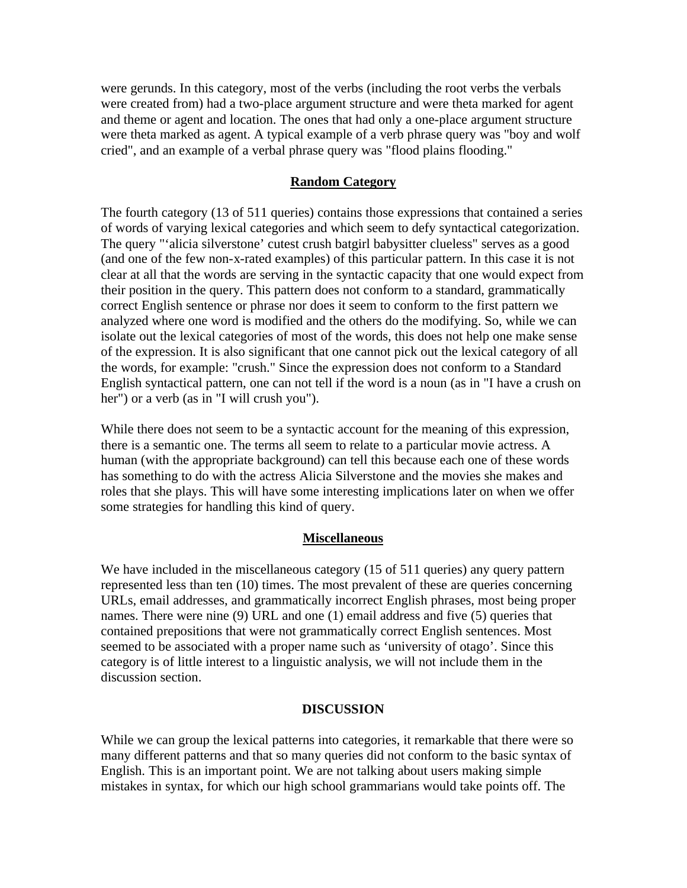were gerunds. In this category, most of the verbs (including the root verbs the verbals were created from) had a two-place argument structure and were theta marked for agent and theme or agent and location. The ones that had only a one-place argument structure were theta marked as agent. A typical example of a verb phrase query was "boy and wolf cried", and an example of a verbal phrase query was "flood plains flooding."

## **Random Category**

The fourth category (13 of 511 queries) contains those expressions that contained a series of words of varying lexical categories and which seem to defy syntactical categorization. The query "'alicia silverstone' cutest crush batgirl babysitter clueless" serves as a good (and one of the few non-x-rated examples) of this particular pattern. In this case it is not clear at all that the words are serving in the syntactic capacity that one would expect from their position in the query. This pattern does not conform to a standard, grammatically correct English sentence or phrase nor does it seem to conform to the first pattern we analyzed where one word is modified and the others do the modifying. So, while we can isolate out the lexical categories of most of the words, this does not help one make sense of the expression. It is also significant that one cannot pick out the lexical category of all the words, for example: "crush." Since the expression does not conform to a Standard English syntactical pattern, one can not tell if the word is a noun (as in "I have a crush on her") or a verb (as in "I will crush you").

While there does not seem to be a syntactic account for the meaning of this expression, there is a semantic one. The terms all seem to relate to a particular movie actress. A human (with the appropriate background) can tell this because each one of these words has something to do with the actress Alicia Silverstone and the movies she makes and roles that she plays. This will have some interesting implications later on when we offer some strategies for handling this kind of query.

### **Miscellaneous**

We have included in the miscellaneous category (15 of 511 queries) any query pattern represented less than ten (10) times. The most prevalent of these are queries concerning URLs, email addresses, and grammatically incorrect English phrases, most being proper names. There were nine (9) URL and one (1) email address and five (5) queries that contained prepositions that were not grammatically correct English sentences. Most seemed to be associated with a proper name such as 'university of otago'. Since this category is of little interest to a linguistic analysis, we will not include them in the discussion section.

### **DISCUSSION**

While we can group the lexical patterns into categories, it remarkable that there were so many different patterns and that so many queries did not conform to the basic syntax of English. This is an important point. We are not talking about users making simple mistakes in syntax, for which our high school grammarians would take points off. The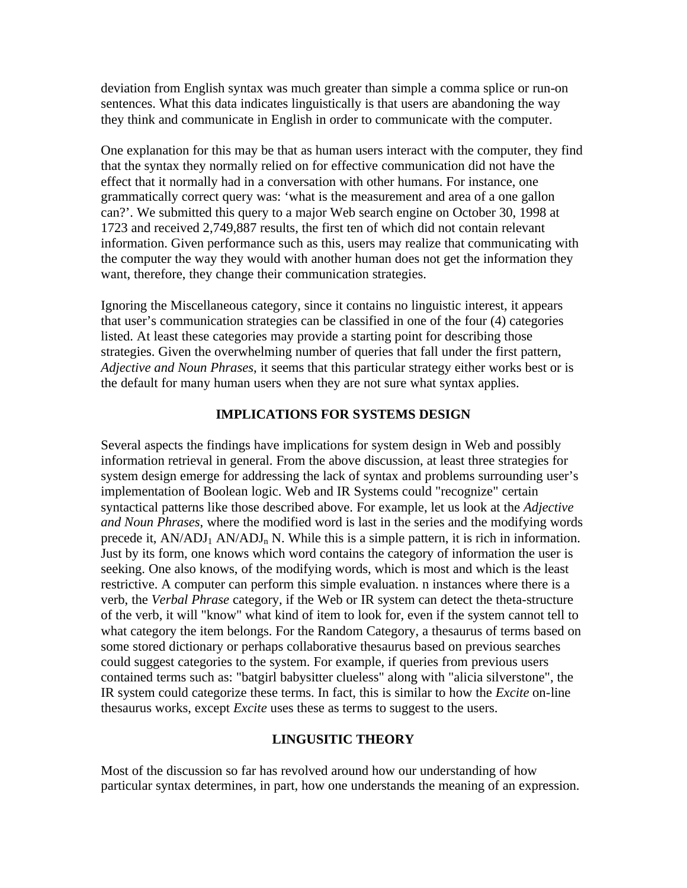deviation from English syntax was much greater than simple a comma splice or run-on sentences. What this data indicates linguistically is that users are abandoning the way they think and communicate in English in order to communicate with the computer.

One explanation for this may be that as human users interact with the computer, they find that the syntax they normally relied on for effective communication did not have the effect that it normally had in a conversation with other humans. For instance, one grammatically correct query was: 'what is the measurement and area of a one gallon can?'. We submitted this query to a major Web search engine on October 30, 1998 at 1723 and received 2,749,887 results, the first ten of which did not contain relevant information. Given performance such as this, users may realize that communicating with the computer the way they would with another human does not get the information they want, therefore, they change their communication strategies.

Ignoring the Miscellaneous category, since it contains no linguistic interest, it appears that user's communication strategies can be classified in one of the four (4) categories listed. At least these categories may provide a starting point for describing those strategies. Given the overwhelming number of queries that fall under the first pattern, *Adjective and Noun Phrases*, it seems that this particular strategy either works best or is the default for many human users when they are not sure what syntax applies.

## **IMPLICATIONS FOR SYSTEMS DESIGN**

Several aspects the findings have implications for system design in Web and possibly information retrieval in general. From the above discussion, at least three strategies for system design emerge for addressing the lack of syntax and problems surrounding user's implementation of Boolean logic. Web and IR Systems could "recognize" certain syntactical patterns like those described above. For example, let us look at the *Adjective and Noun Phrases*, where the modified word is last in the series and the modifying words precede it,  $AN/ADI_1 AN/ADI_n N$ . While this is a simple pattern, it is rich in information. Just by its form, one knows which word contains the category of information the user is seeking. One also knows, of the modifying words, which is most and which is the least restrictive. A computer can perform this simple evaluation. n instances where there is a verb, the *Verbal Phrase* category, if the Web or IR system can detect the theta-structure of the verb, it will "know" what kind of item to look for, even if the system cannot tell to what category the item belongs. For the Random Category, a thesaurus of terms based on some stored dictionary or perhaps collaborative thesaurus based on previous searches could suggest categories to the system. For example, if queries from previous users contained terms such as: "batgirl babysitter clueless" along with "alicia silverstone", the IR system could categorize these terms. In fact, this is similar to how the *Excite* on-line thesaurus works, except *Excite* uses these as terms to suggest to the users.

# **LINGUSITIC THEORY**

Most of the discussion so far has revolved around how our understanding of how particular syntax determines, in part, how one understands the meaning of an expression.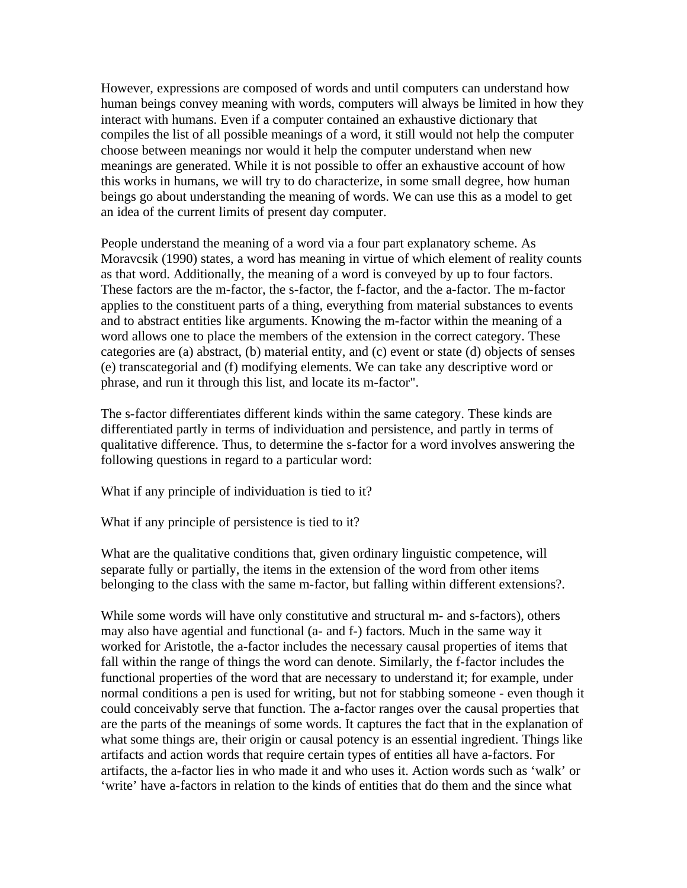However, expressions are composed of words and until computers can understand how human beings convey meaning with words, computers will always be limited in how they interact with humans. Even if a computer contained an exhaustive dictionary that compiles the list of all possible meanings of a word, it still would not help the computer choose between meanings nor would it help the computer understand when new meanings are generated. While it is not possible to offer an exhaustive account of how this works in humans, we will try to do characterize, in some small degree, how human beings go about understanding the meaning of words. We can use this as a model to get an idea of the current limits of present day computer.

People understand the meaning of a word via a four part explanatory scheme. As Moravcsik (1990) states, a word has meaning in virtue of which element of reality counts as that word. Additionally, the meaning of a word is conveyed by up to four factors. These factors are the m-factor, the s-factor, the f-factor, and the a-factor. The m-factor applies to the constituent parts of a thing, everything from material substances to events and to abstract entities like arguments. Knowing the m-factor within the meaning of a word allows one to place the members of the extension in the correct category. These categories are (a) abstract, (b) material entity, and (c) event or state (d) objects of senses (e) transcategorial and (f) modifying elements. We can take any descriptive word or phrase, and run it through this list, and locate its m-factor".

The s-factor differentiates different kinds within the same category. These kinds are differentiated partly in terms of individuation and persistence, and partly in terms of qualitative difference. Thus, to determine the s-factor for a word involves answering the following questions in regard to a particular word:

What if any principle of individuation is tied to it?

What if any principle of persistence is tied to it?

What are the qualitative conditions that, given ordinary linguistic competence, will separate fully or partially, the items in the extension of the word from other items belonging to the class with the same m-factor, but falling within different extensions?.

While some words will have only constitutive and structural m- and s-factors), others may also have agential and functional (a- and f-) factors. Much in the same way it worked for Aristotle, the a-factor includes the necessary causal properties of items that fall within the range of things the word can denote. Similarly, the f-factor includes the functional properties of the word that are necessary to understand it; for example, under normal conditions a pen is used for writing, but not for stabbing someone - even though it could conceivably serve that function. The a-factor ranges over the causal properties that are the parts of the meanings of some words. It captures the fact that in the explanation of what some things are, their origin or causal potency is an essential ingredient. Things like artifacts and action words that require certain types of entities all have a-factors. For artifacts, the a-factor lies in who made it and who uses it. Action words such as 'walk' or 'write' have a-factors in relation to the kinds of entities that do them and the since what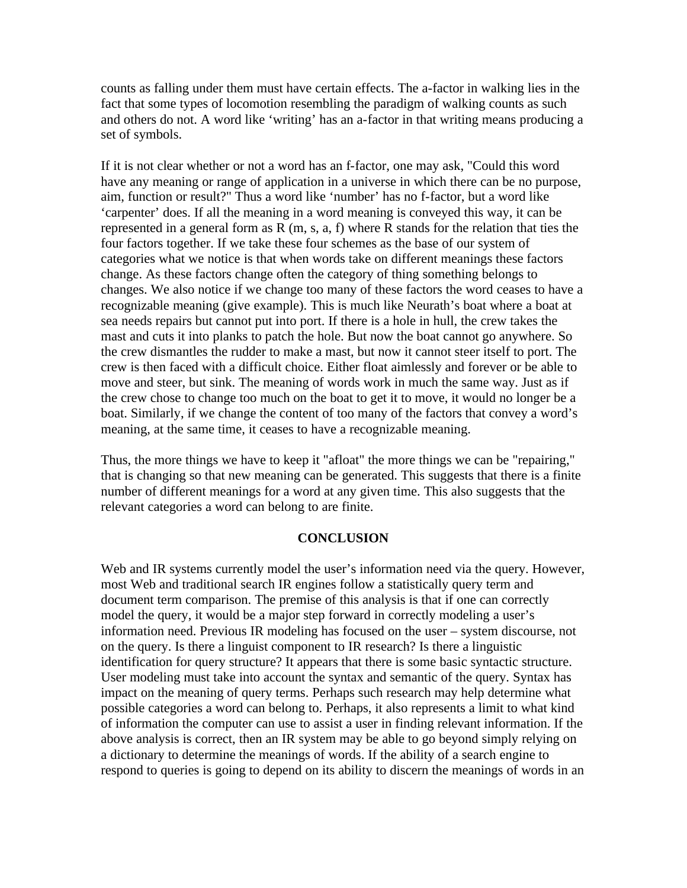counts as falling under them must have certain effects. The a-factor in walking lies in the fact that some types of locomotion resembling the paradigm of walking counts as such and others do not. A word like 'writing' has an a-factor in that writing means producing a set of symbols.

If it is not clear whether or not a word has an f-factor, one may ask, "Could this word have any meaning or range of application in a universe in which there can be no purpose, aim, function or result?" Thus a word like 'number' has no f-factor, but a word like 'carpenter' does. If all the meaning in a word meaning is conveyed this way, it can be represented in a general form as  $R(m, s, a, f)$  where  $R$  stands for the relation that ties the four factors together. If we take these four schemes as the base of our system of categories what we notice is that when words take on different meanings these factors change. As these factors change often the category of thing something belongs to changes. We also notice if we change too many of these factors the word ceases to have a recognizable meaning (give example). This is much like Neurath's boat where a boat at sea needs repairs but cannot put into port. If there is a hole in hull, the crew takes the mast and cuts it into planks to patch the hole. But now the boat cannot go anywhere. So the crew dismantles the rudder to make a mast, but now it cannot steer itself to port. The crew is then faced with a difficult choice. Either float aimlessly and forever or be able to move and steer, but sink. The meaning of words work in much the same way. Just as if the crew chose to change too much on the boat to get it to move, it would no longer be a boat. Similarly, if we change the content of too many of the factors that convey a word's meaning, at the same time, it ceases to have a recognizable meaning.

Thus, the more things we have to keep it "afloat" the more things we can be "repairing," that is changing so that new meaning can be generated. This suggests that there is a finite number of different meanings for a word at any given time. This also suggests that the relevant categories a word can belong to are finite.

### **CONCLUSION**

Web and IR systems currently model the user's information need via the query. However, most Web and traditional search IR engines follow a statistically query term and document term comparison. The premise of this analysis is that if one can correctly model the query, it would be a major step forward in correctly modeling a user's information need. Previous IR modeling has focused on the user – system discourse, not on the query. Is there a linguist component to IR research? Is there a linguistic identification for query structure? It appears that there is some basic syntactic structure. User modeling must take into account the syntax and semantic of the query. Syntax has impact on the meaning of query terms. Perhaps such research may help determine what possible categories a word can belong to. Perhaps, it also represents a limit to what kind of information the computer can use to assist a user in finding relevant information. If the above analysis is correct, then an IR system may be able to go beyond simply relying on a dictionary to determine the meanings of words. If the ability of a search engine to respond to queries is going to depend on its ability to discern the meanings of words in an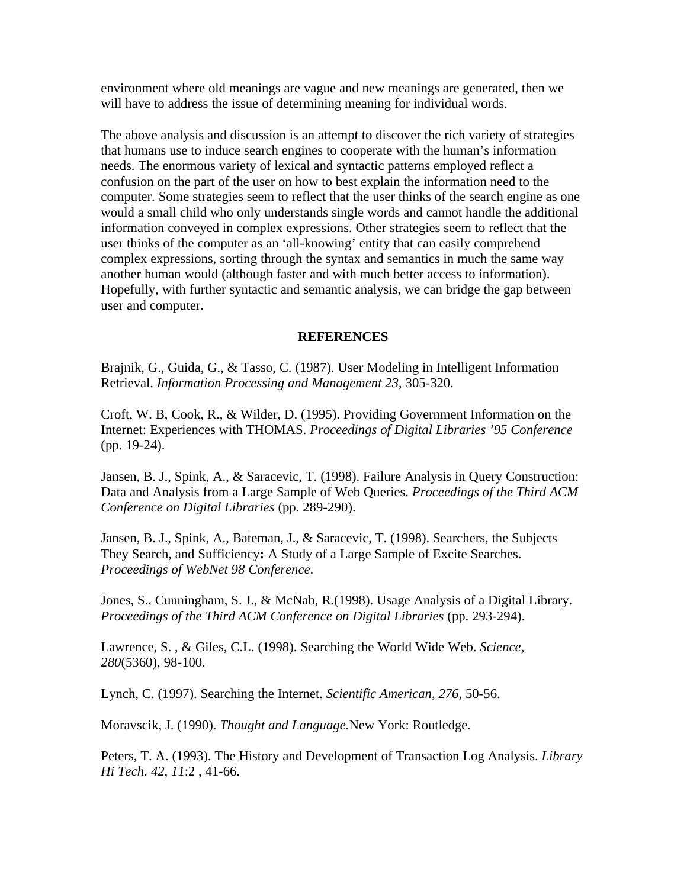environment where old meanings are vague and new meanings are generated, then we will have to address the issue of determining meaning for individual words.

The above analysis and discussion is an attempt to discover the rich variety of strategies that humans use to induce search engines to cooperate with the human's information needs. The enormous variety of lexical and syntactic patterns employed reflect a confusion on the part of the user on how to best explain the information need to the computer. Some strategies seem to reflect that the user thinks of the search engine as one would a small child who only understands single words and cannot handle the additional information conveyed in complex expressions. Other strategies seem to reflect that the user thinks of the computer as an 'all-knowing' entity that can easily comprehend complex expressions, sorting through the syntax and semantics in much the same way another human would (although faster and with much better access to information). Hopefully, with further syntactic and semantic analysis, we can bridge the gap between user and computer.

## **REFERENCES**

Brajnik, G., Guida, G., & Tasso, C. (1987). User Modeling in Intelligent Information Retrieval. *Information Processing and Management 23*, 305-320.

Croft, W. B, Cook, R., & Wilder, D. (1995). Providing Government Information on the Internet: Experiences with THOMAS. *Proceedings of Digital Libraries '95 Conference* (pp. 19-24).

Jansen, B. J., Spink, A., & Saracevic, T. (1998). Failure Analysis in Query Construction: Data and Analysis from a Large Sample of Web Queries. *Proceedings of the Third ACM Conference on Digital Libraries* (pp. 289-290).

Jansen, B. J., Spink, A., Bateman, J., & Saracevic, T. (1998). Searchers, the Subjects They Search, and Sufficiency**:** A Study of a Large Sample of Excite Searches. *Proceedings of WebNet 98 Conference*.

Jones, S., Cunningham, S. J., & McNab, R.(1998). Usage Analysis of a Digital Library. *Proceedings of the Third ACM Conference on Digital Libraries* (pp. 293-294).

Lawrence, S. , & Giles, C.L. (1998). Searching the World Wide Web. *Science, 280*(5360), 98-100.

Lynch, C. (1997). Searching the Internet. *Scientific American, 276*, 50-56.

Moravscik, J. (1990). *Thought and Language.*New York: Routledge.

Peters, T. A. (1993). The History and Development of Transaction Log Analysis. *Library Hi Tech*. *42, 11*:2 , 41-66.